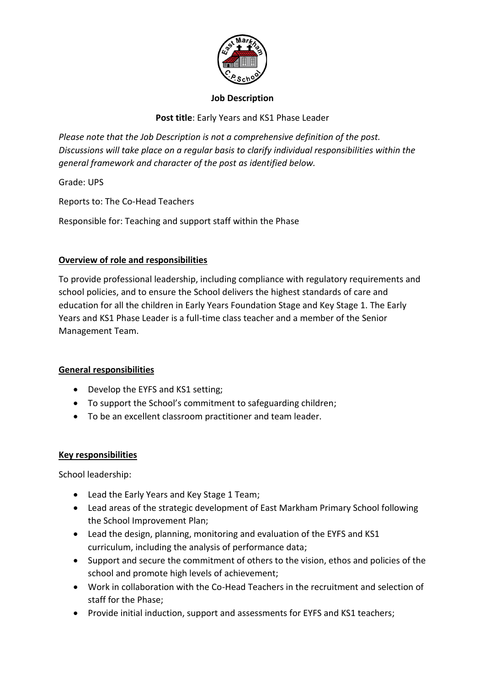

### **Job Description**

**Post title**: Early Years and KS1 Phase Leader

*Please note that the Job Description is not a comprehensive definition of the post. Discussions will take place on a regular basis to clarify individual responsibilities within the general framework and character of the post as identified below.* 

Grade: UPS

Reports to: The Co-Head Teachers

Responsible for: Teaching and support staff within the Phase

# **Overview of role and responsibilities**

To provide professional leadership, including compliance with regulatory requirements and school policies, and to ensure the School delivers the highest standards of care and education for all the children in Early Years Foundation Stage and Key Stage 1. The Early Years and KS1 Phase Leader is a full-time class teacher and a member of the Senior Management Team.

## **General responsibilities**

- Develop the EYFS and KS1 setting;
- To support the School's commitment to safeguarding children;
- To be an excellent classroom practitioner and team leader.

## **Key responsibilities**

School leadership:

- Lead the Early Years and Key Stage 1 Team;
- Lead areas of the strategic development of East Markham Primary School following the School Improvement Plan;
- Lead the design, planning, monitoring and evaluation of the EYFS and KS1 curriculum, including the analysis of performance data;
- Support and secure the commitment of others to the vision, ethos and policies of the school and promote high levels of achievement;
- Work in collaboration with the Co-Head Teachers in the recruitment and selection of staff for the Phase;
- Provide initial induction, support and assessments for EYFS and KS1 teachers;